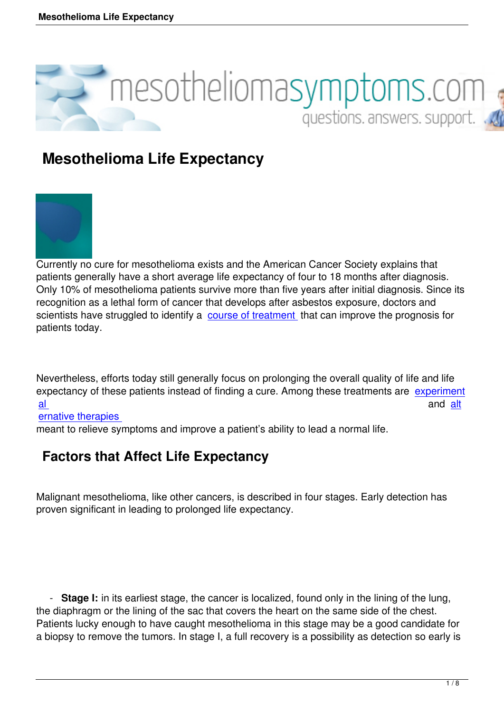

# **Mesothelioma Life Expectancy**



Currently no cure for mesothelioma exists and the American Cancer Society explains that patients generally have a short average life expectancy of four to 18 months after diagnosis. Only 10% of mesothelioma patients survive more than five years after initial diagnosis. Since its recognition as a lethal form of cancer that develops after asbestos exposure, doctors and scientists have struggled to identify a course of treatment that can improve the prognosis for patients today.

Nevertheless, efforts today still generally focus on prolonging the overall quality of life and life expectancy of these patients instead of finding a cure. Among these treatments are experiment al and alternative and alternative and alternative and alternative and alternative and alternative and alternative and alternative and alternative and alternative and alternative and alternative and alternative and alterna

#### ernative therapies

meant to relieve symptoms and improve a patient's ability to lead a normal life.

#### **[Factors that](http://www.mesotheliomasymptoms.com/alternative-therapies) Affect Life Expectancy**

Malignant mesothelioma, like other cancers, is described in four stages. Early detection has proven significant in leading to prolonged life expectancy.

 - **Stage I:** in its earliest stage, the cancer is localized, found only in the lining of the lung, the diaphragm or the lining of the sac that covers the heart on the same side of the chest. Patients lucky enough to have caught mesothelioma in this stage may be a good candidate for a biopsy to remove the tumors. In stage I, a full recovery is a possibility as detection so early is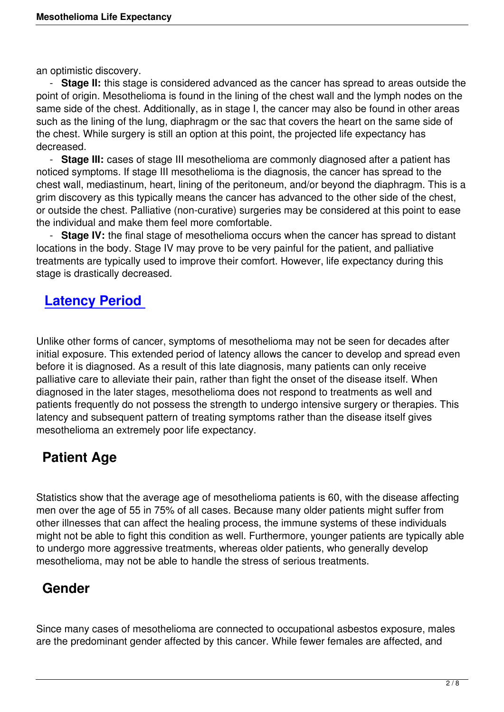an optimistic discovery.

 - **Stage II:** this stage is considered advanced as the cancer has spread to areas outside the point of origin. Mesothelioma is found in the lining of the chest wall and the lymph nodes on the same side of the chest. Additionally, as in stage I, the cancer may also be found in other areas such as the lining of the lung, diaphragm or the sac that covers the heart on the same side of the chest. While surgery is still an option at this point, the projected life expectancy has decreased.

 - **Stage III:** cases of stage III mesothelioma are commonly diagnosed after a patient has noticed symptoms. If stage III mesothelioma is the diagnosis, the cancer has spread to the chest wall, mediastinum, heart, lining of the peritoneum, and/or beyond the diaphragm. This is a grim discovery as this typically means the cancer has advanced to the other side of the chest, or outside the chest. Palliative (non-curative) surgeries may be considered at this point to ease the individual and make them feel more comfortable.

 - **Stage IV:** the final stage of mesothelioma occurs when the cancer has spread to distant locations in the body. Stage IV may prove to be very painful for the patient, and palliative treatments are typically used to improve their comfort. However, life expectancy during this stage is drastically decreased.

## **Latency Period**

U[nlike other forms of can](http://www.mesotheliomasymptoms.com/mesothelioma-latency-period)cer, symptoms of mesothelioma may not be seen for decades after initial exposure. This extended period of latency allows the cancer to develop and spread even before it is diagnosed. As a result of this late diagnosis, many patients can only receive palliative care to alleviate their pain, rather than fight the onset of the disease itself. When diagnosed in the later stages, mesothelioma does not respond to treatments as well and patients frequently do not possess the strength to undergo intensive surgery or therapies. This latency and subsequent pattern of treating symptoms rather than the disease itself gives mesothelioma an extremely poor life expectancy.

## **Patient Age**

Statistics show that the average age of mesothelioma patients is 60, with the disease affecting men over the age of 55 in 75% of all cases. Because many older patients might suffer from other illnesses that can affect the healing process, the immune systems of these individuals might not be able to fight this condition as well. Furthermore, younger patients are typically able to undergo more aggressive treatments, whereas older patients, who generally develop mesothelioma, may not be able to handle the stress of serious treatments.

## **Gender**

Since many cases of mesothelioma are connected to occupational asbestos exposure, males are the predominant gender affected by this cancer. While fewer females are affected, and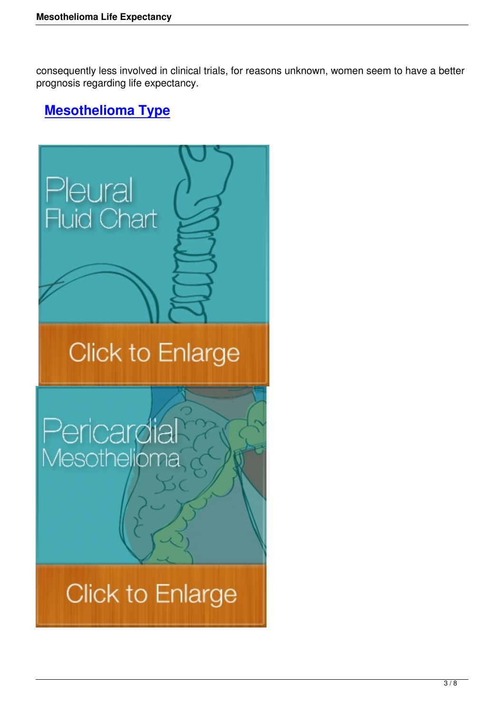consequently less involved in clinical trials, for reasons unknown, women seem to have a better prognosis regarding life expectancy.

## **Mesothelioma Type**

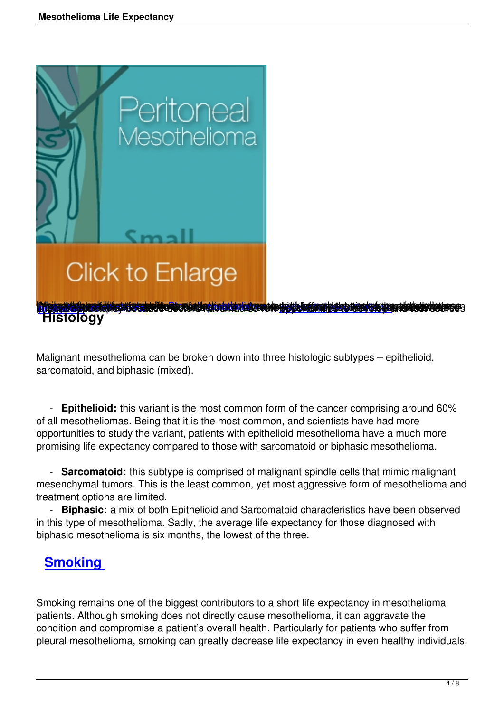

[Malignant mesothelioma](http://www.mesotheliomasymptoms.com/testicular-mesothelioma) can be brok[en down into](http://www.mesotheliomasymptoms.com/peritoneal-mesothelioma) thr[ee histologic subtypes – ep](http://www.mesotheliomasymptoms.com/pericardial-mesothelioma)ithelioid, sarcomatoid, and biphasic (mixed).

 - **Epithelioid:** this variant is the most common form of the cancer comprising around 60% of all mesotheliomas. Being that it is the most common, and scientists have had more opportunities to study the variant, patients with epithelioid mesothelioma have a much more promising life expectancy compared to those with sarcomatoid or biphasic mesothelioma.

 - **Sarcomatoid:** this subtype is comprised of malignant spindle cells that mimic malignant mesenchymal tumors. This is the least common, yet most aggressive form of mesothelioma and treatment options are limited.

 - **Biphasic:** a mix of both Epithelioid and Sarcomatoid characteristics have been observed in this type of mesothelioma. Sadly, the average life expectancy for those diagnosed with biphasic mesothelioma is six months, the lowest of the three.

## **Smoking**

S[moking remain](http://www.mesotheliomasymptoms.com/smoking-and-mesothelioma)s one of the biggest contributors to a short life expectancy in mesothelioma patients. Although smoking does not directly cause mesothelioma, it can aggravate the condition and compromise a patient's overall health. Particularly for patients who suffer from pleural mesothelioma, smoking can greatly decrease life expectancy in even healthy individuals,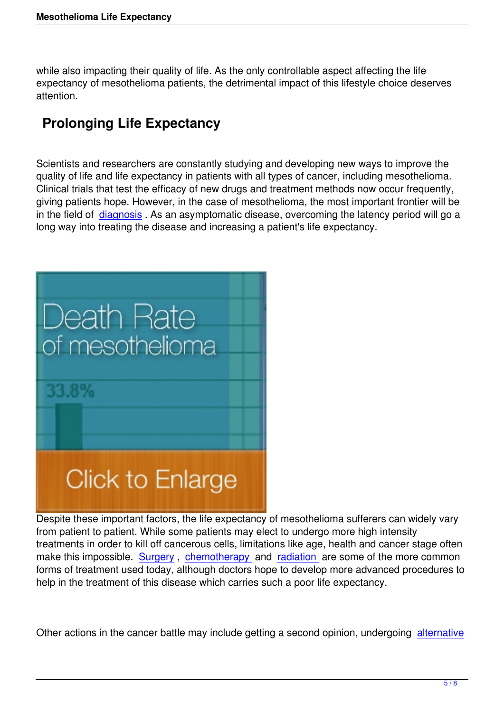while also impacting their quality of life. As the only controllable aspect affecting the life expectancy of mesothelioma patients, the detrimental impact of this lifestyle choice deserves attention.

# **Prolonging Life Expectancy**

Scientists and researchers are constantly studying and developing new ways to improve the quality of life and life expectancy in patients with all types of cancer, including mesothelioma. Clinical trials that test the efficacy of new drugs and treatment methods now occur frequently, giving patients hope. However, in the case of mesothelioma, the most important frontier will be in the field of diagnosis. As an asymptomatic disease, overcoming the latency period will go a long way into treating the disease and increasing a patient's life expectancy.



Despite these important factors, the life expectancy of mesothelioma sufferers can widely vary from patient to patient. While some patients may elect to undergo more high intensity treatments in order to kill off cancerous cells, limitations like age, health and cancer stage often make this impossible. Surgery , chemotherapy and radiation are some of the more common forms of treatment used today, although doctors hope to develop more advanced procedures to help in the treatment of this disease which carries such a poor life expectancy.

Other actions in the cancer battle may include getting a second opinion, undergoing alternative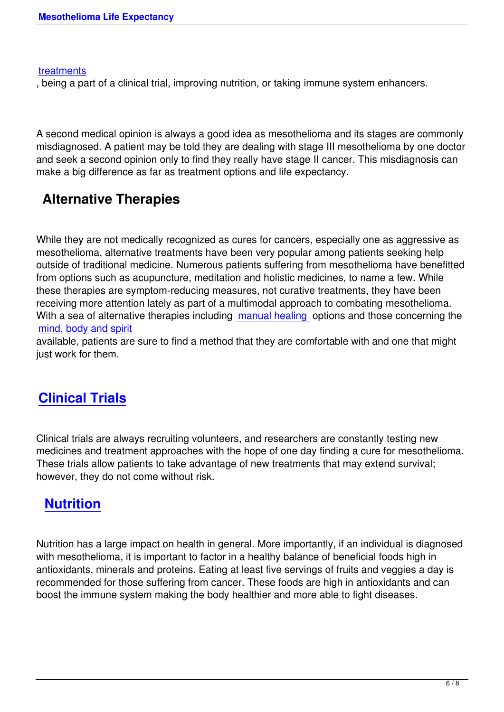, being a part of a clinical trial, improving nutrition, or taking immune system enhancers.

A second medical opinion is always a good idea as mesothelioma and its stages are commonly misdiagnosed. A patient may be told they are dealing with stage III mesothelioma by one doctor and seek a second opinion only to find they really have stage II cancer. This misdiagnosis can make a big difference as far as treatment options and life expectancy.

#### **Alternative Therapies**

While they are not medically recognized as cures for cancers, especially one as aggressive as mesothelioma, alternative treatments have been very popular among patients seeking help outside of traditional medicine. Numerous patients suffering from mesothelioma have benefitted from options such as acupuncture, meditation and holistic medicines, to name a few. While these therapies are symptom-reducing measures, not curative treatments, they have been receiving more attention lately as part of a multimodal approach to combating mesothelioma. With a sea of alternative therapies including manual healing options and those concerning the mind, body and spirit

available, patients are sure to find a method that they are comfortable with and one that might just work for them.

## **Clinical Trials**

[Clinical trials are alw](http://%20http//www.mesotheliomasymptoms.com/clinical-trials)ays recruiting volunteers, and researchers are constantly testing new medicines and treatment approaches with the hope of one day finding a cure for mesothelioma. These trials allow patients to take advantage of new treatments that may extend survival; however, they do not come without risk.

#### **Nutrition**

N[utrition has a](http://www.mesotheliomasymptoms.com/diet-physical-activity-and-cancer) large impact on health in general. More importantly, if an individual is diagnosed with mesothelioma, it is important to factor in a healthy balance of beneficial foods high in antioxidants, minerals and proteins. Eating at least five servings of fruits and veggies a day is recommended for those suffering from cancer. These foods are high in antioxidants and can boost the immune system making the body healthier and more able to fight diseases.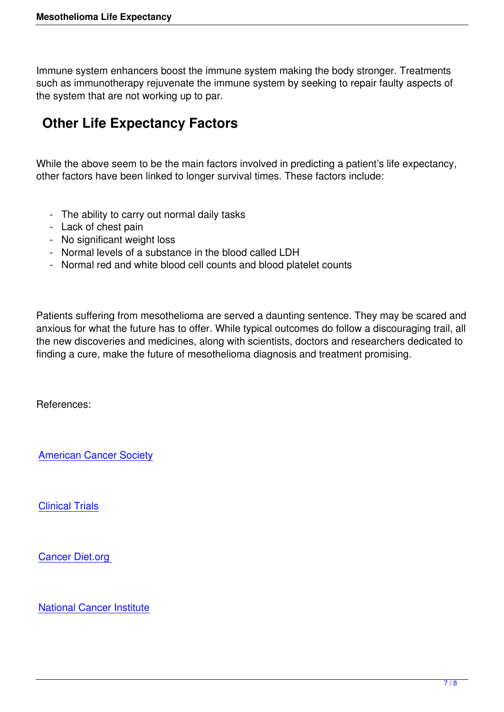Immune system enhancers boost the immune system making the body stronger. Treatments such as immunotherapy rejuvenate the immune system by seeking to repair faulty aspects of the system that are not working up to par.

# **Other Life Expectancy Factors**

While the above seem to be the main factors involved in predicting a patient's life expectancy, other factors have been linked to longer survival times. These factors include:

- The ability to carry out normal daily tasks
- Lack of chest pain
- No significant weight loss
- Normal levels of a substance in the blood called LDH
- Normal red and white blood cell counts and blood platelet counts

Patients suffering from mesothelioma are served a daunting sentence. They may be scared and anxious for what the future has to offer. While typical outcomes do follow a discouraging trail, all the new discoveries and medicines, along with scientists, doctors and researchers dedicated to finding a cure, make the future of mesothelioma diagnosis and treatment promising.

References:

**American Cancer Society** 

[Clinical Trials](http://www.cancer.org/Cancer/MalignantMesothelioma/OverviewGuide/malignant-mesothelioma-overview-survival-rates)

[Cancer Diet.o](http://clinicaltrials.gov/ct2/results?term=mesothelioma&pg=1)rg

[National Cancer](http://www.cancerdiet.org/prolonging-life-after-a-mesothelioma-diagnosis-eating-properly.htm) Institute